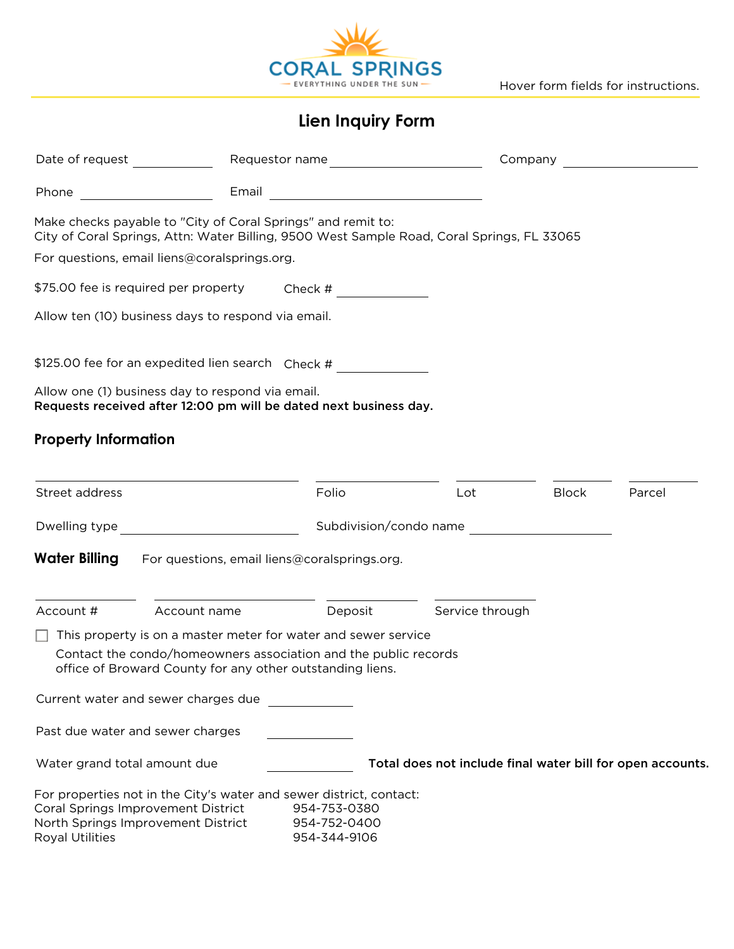

Hover form fields for instructions.

**Lien Inquiry Form**

| Date of request and the part of the part of the part of the part of the part of the part of the part of the par                                                           |                                              |                                              |                                                            | Company      |        |  |
|---------------------------------------------------------------------------------------------------------------------------------------------------------------------------|----------------------------------------------|----------------------------------------------|------------------------------------------------------------|--------------|--------|--|
| Phone                                                                                                                                                                     |                                              |                                              |                                                            |              |        |  |
| Make checks payable to "City of Coral Springs" and remit to:<br>City of Coral Springs, Attn: Water Billing, 9500 West Sample Road, Coral Springs, FL 33065                |                                              |                                              |                                                            |              |        |  |
| For questions, email liens@coralsprings.org.                                                                                                                              |                                              |                                              |                                                            |              |        |  |
| \$75.00 fee is required per property Check #                                                                                                                              |                                              |                                              |                                                            |              |        |  |
| Allow ten (10) business days to respond via email.                                                                                                                        |                                              |                                              |                                                            |              |        |  |
| \$125.00 fee for an expedited lien search Check #                                                                                                                         |                                              |                                              |                                                            |              |        |  |
| Allow one (1) business day to respond via email.<br>Requests received after 12:00 pm will be dated next business day.                                                     |                                              |                                              |                                                            |              |        |  |
| <b>Property Information</b>                                                                                                                                               |                                              |                                              |                                                            |              |        |  |
| Street address                                                                                                                                                            | Folio                                        |                                              | Lot                                                        | <b>Block</b> | Parcel |  |
| Dwelling type                                                                                                                                                             | $ \mathbf{v} $                               |                                              | Subdivision/condo name                                     |              |        |  |
| <b>Water Billing</b>                                                                                                                                                      | For questions, email liens@coralsprings.org. |                                              |                                                            |              |        |  |
| Account #<br>Account name                                                                                                                                                 |                                              | Deposit                                      | Service through                                            |              |        |  |
| This property is on a master meter for water and sewer service                                                                                                            |                                              |                                              |                                                            |              |        |  |
| Contact the condo/homeowners association and the public records<br>office of Broward County for any other outstanding liens.                                              |                                              |                                              |                                                            |              |        |  |
| Current water and sewer charges due                                                                                                                                       |                                              |                                              |                                                            |              |        |  |
| Past due water and sewer charges                                                                                                                                          |                                              |                                              |                                                            |              |        |  |
| Water grand total amount due                                                                                                                                              |                                              |                                              | Total does not include final water bill for open accounts. |              |        |  |
| For properties not in the City's water and sewer district, contact:<br>Coral Springs Improvement District<br>North Springs Improvement District<br><b>Royal Utilities</b> |                                              | 954-753-0380<br>954-752-0400<br>954-344-9106 |                                                            |              |        |  |